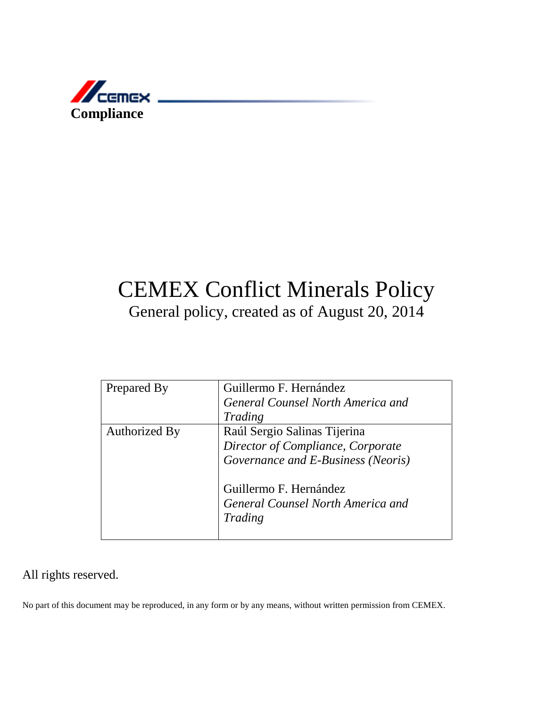

# CEMEX Conflict Minerals Policy General policy, created as of August 20, 2014

| Prepared By          | Guillermo F. Hernández             |
|----------------------|------------------------------------|
|                      | General Counsel North America and  |
|                      | Trading                            |
| <b>Authorized By</b> | Raúl Sergio Salinas Tijerina       |
|                      | Director of Compliance, Corporate  |
|                      | Governance and E-Business (Neoris) |
|                      | Guillermo F. Hernández             |
|                      | General Counsel North America and  |
|                      | Trading                            |
|                      |                                    |

### All rights reserved.

No part of this document may be reproduced, in any form or by any means, without written permission from CEMEX.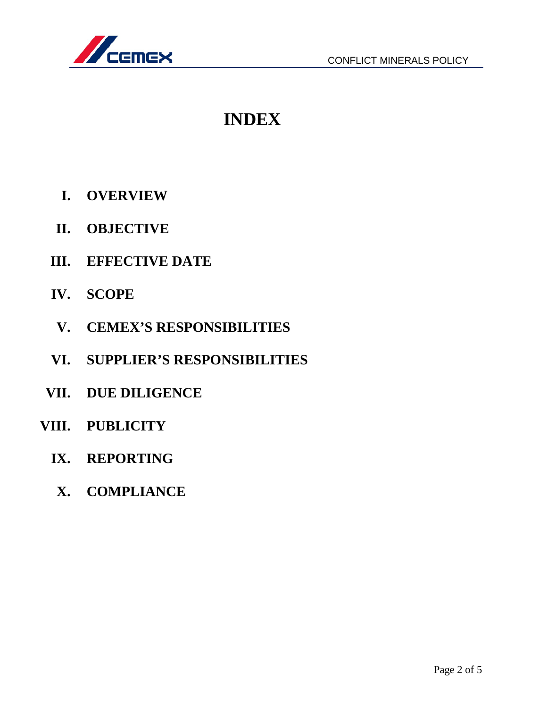

## **INDEX**

- **I. OVERVIEW**
- **II. OBJECTIVE**
- **III. EFFECTIVE DATE**
- **IV. SCOPE**
- **V. CEMEX'S RESPONSIBILITIES**
- **VI. SUPPLIER'S RESPONSIBILITIES**
- **VII. DUE DILIGENCE**
- **VIII. PUBLICITY**
	- **IX. REPORTING**
	- **X. COMPLIANCE**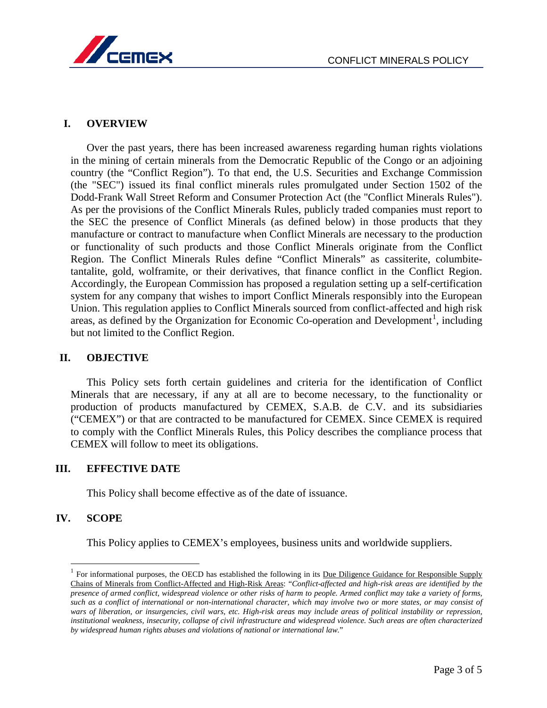

#### **I. OVERVIEW**

Over the past years, there has been increased awareness regarding human rights violations in the mining of certain minerals from the Democratic Republic of the Congo or an adjoining country (the "Conflict Region"). To that end, the U.S. Securities and Exchange Commission (the "SEC") issued its final conflict minerals rules promulgated under Section 1502 of the Dodd-Frank Wall Street Reform and Consumer Protection Act (the "Conflict Minerals Rules"). As per the provisions of the Conflict Minerals Rules, publicly traded companies must report to the SEC the presence of Conflict Minerals (as defined below) in those products that they manufacture or contract to manufacture when Conflict Minerals are necessary to the production or functionality of such products and those Conflict Minerals originate from the Conflict Region. The Conflict Minerals Rules define "Conflict Minerals" as cassiterite, columbitetantalite, gold, wolframite, or their derivatives, that finance conflict in the Conflict Region. Accordingly, the European Commission has proposed a regulation setting up a self-certification system for any company that wishes to import Conflict Minerals responsibly into the European Union. This regulation applies to Conflict Minerals sourced from conflict-affected and high risk areas, as defined by the Organization for Economic Co-operation and Development<sup>[1](#page-2-0)</sup>, including but not limited to the Conflict Region.

#### **II. OBJECTIVE**

This Policy sets forth certain guidelines and criteria for the identification of Conflict Minerals that are necessary, if any at all are to become necessary, to the functionality or production of products manufactured by CEMEX, S.A.B. de C.V. and its subsidiaries ("CEMEX") or that are contracted to be manufactured for CEMEX. Since CEMEX is required to comply with the Conflict Minerals Rules, this Policy describes the compliance process that CEMEX will follow to meet its obligations.

#### **III. EFFECTIVE DATE**

This Policy shall become effective as of the date of issuance.

#### **IV. SCOPE**

-

This Policy applies to CEMEX's employees, business units and worldwide suppliers.

<span id="page-2-0"></span> $1$  For informational purposes, the OECD has established the following in its Due Diligence Guidance for Responsible Supply Chains of Minerals from Conflict-Affected and High-Risk Areas: "*Conflict-affected and high-risk areas are identified by the presence of armed conflict, widespread violence or other risks of harm to people. Armed conflict may take a variety of forms, such as a conflict of international or non-international character, which may involve two or more states, or may consist of wars of liberation, or insurgencies, civil wars, etc. High-risk areas may include areas of political instability or repression, institutional weakness, insecurity, collapse of civil infrastructure and widespread violence. Such areas are often characterized by widespread human rights abuses and violations of national or international law.*"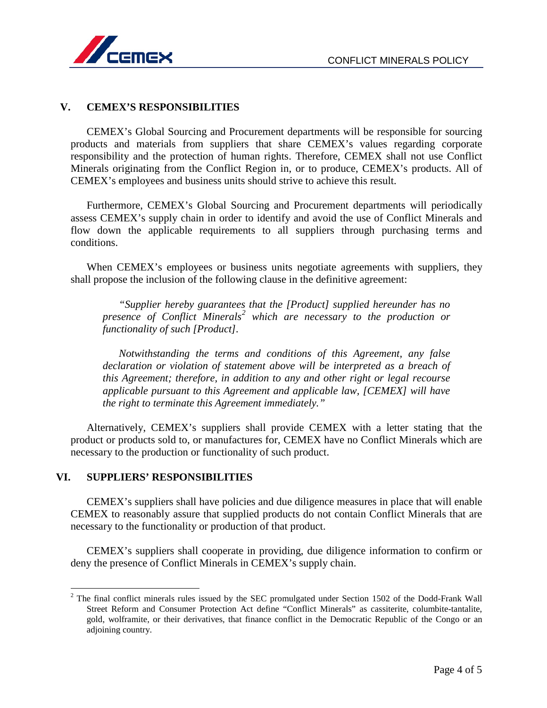

#### **V. CEMEX'S RESPONSIBILITIES**

CEMEX's Global Sourcing and Procurement departments will be responsible for sourcing products and materials from suppliers that share CEMEX's values regarding corporate responsibility and the protection of human rights. Therefore, CEMEX shall not use Conflict Minerals originating from the Conflict Region in, or to produce, CEMEX's products. All of CEMEX's employees and business units should strive to achieve this result.

Furthermore, CEMEX's Global Sourcing and Procurement departments will periodically assess CEMEX's supply chain in order to identify and avoid the use of Conflict Minerals and flow down the applicable requirements to all suppliers through purchasing terms and conditions.

When CEMEX's employees or business units negotiate agreements with suppliers, they shall propose the inclusion of the following clause in the definitive agreement:

*"Supplier hereby guarantees that the [Product] supplied hereunder has no presence of Conflict Minerals[2](#page-3-0) which are necessary to the production or functionality of such [Product].*

*Notwithstanding the terms and conditions of this Agreement, any false declaration or violation of statement above will be interpreted as a breach of this Agreement; therefore, in addition to any and other right or legal recourse applicable pursuant to this Agreement and applicable law, [CEMEX] will have the right to terminate this Agreement immediately."*

Alternatively, CEMEX's suppliers shall provide CEMEX with a letter stating that the product or products sold to, or manufactures for, CEMEX have no Conflict Minerals which are necessary to the production or functionality of such product.

#### **VI. SUPPLIERS' RESPONSIBILITIES**

-

CEMEX's suppliers shall have policies and due diligence measures in place that will enable CEMEX to reasonably assure that supplied products do not contain Conflict Minerals that are necessary to the functionality or production of that product.

CEMEX's suppliers shall cooperate in providing, due diligence information to confirm or deny the presence of Conflict Minerals in CEMEX's supply chain.

<span id="page-3-0"></span> $2$  The final conflict minerals rules issued by the SEC promulgated under Section 1502 of the Dodd-Frank Wall Street Reform and Consumer Protection Act define "Conflict Minerals" as cassiterite, columbite-tantalite, gold, wolframite, or their derivatives, that finance conflict in the Democratic Republic of the Congo or an adjoining country.